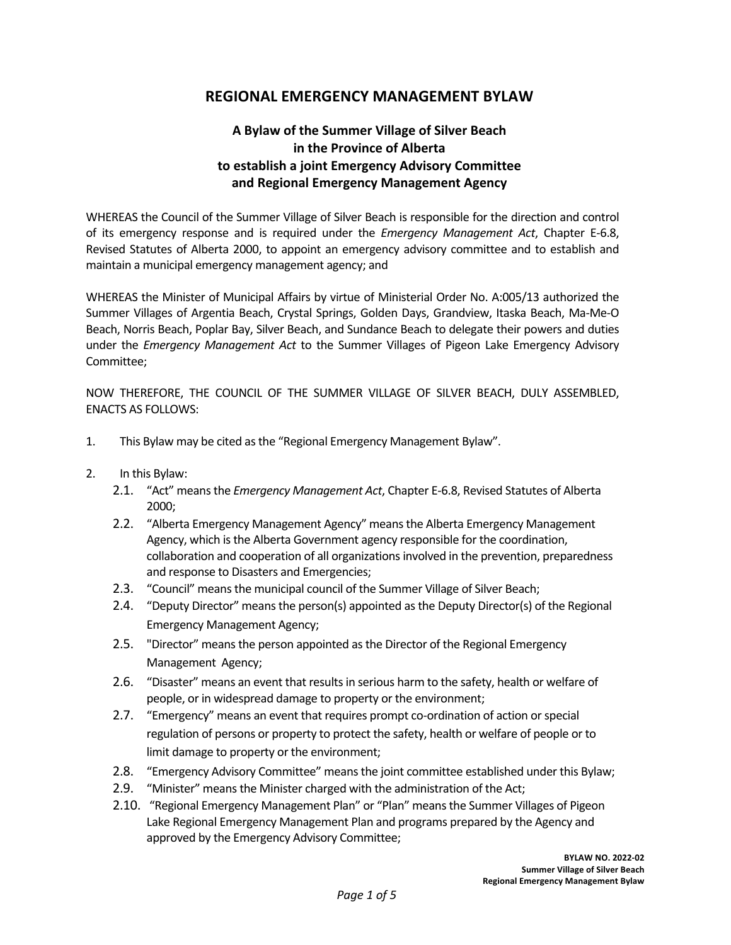## **REGIONAL EMERGENCY MANAGEMENT BYLAW**

## **A Bylaw of the Summer Village of Silver Beach in the Province of Alberta to establish a joint Emergency Advisory Committee and Regional Emergency Management Agency**

WHEREAS the Council of the Summer Village of Silver Beach is responsible for the direction and control of its emergency response and is required under the *Emergency Management Act*, Chapter E-6.8, Revised Statutes of Alberta 2000, to appoint an emergency advisory committee and to establish and maintain a municipal emergency management agency; and

WHEREAS the Minister of Municipal Affairs by virtue of Ministerial Order No. A:005/13 authorized the Summer Villages of Argentia Beach, Crystal Springs, Golden Days, Grandview, Itaska Beach, Ma-Me-O Beach, Norris Beach, Poplar Bay, Silver Beach, and Sundance Beach to delegate their powers and duties under the *Emergency Management Act* to the Summer Villages of Pigeon Lake Emergency Advisory Committee;

NOW THEREFORE, THE COUNCIL OF THE SUMMER VILLAGE OF SILVER BEACH, DULY ASSEMBLED, ENACTS AS FOLLOWS:

- 1. This Bylaw may be cited as the "Regional Emergency Management Bylaw".
- 2. In this Bylaw:
	- 2.1. "Act" means the *Emergency Management Act*, Chapter E-6.8, Revised Statutes of Alberta 2000;
	- 2.2. "Alberta Emergency Management Agency" means the Alberta Emergency Management Agency, which is the Alberta Government agency responsible for the coordination, collaboration and cooperation of all organizations involved in the prevention, preparedness and response to Disasters and Emergencies;
	- 2.3. "Council" means the municipal council of the Summer Village of Silver Beach;
	- 2.4. "Deputy Director" means the person(s) appointed as the Deputy Director(s) of the Regional Emergency Management Agency;
	- 2.5. "Director" means the person appointed asthe Director of the Regional Emergency Management Agency;
	- 2.6. "Disaster" means an event that results in serious harm to the safety, health or welfare of people, or in widespread damage to property or the environment;
	- 2.7. "Emergency" means an event that requires prompt co-ordination of action or special regulation of persons or property to protect the safety, health or welfare of people or to limit damage to property or the environment;
	- 2.8. "Emergency Advisory Committee" means the joint committee established under this Bylaw;
	- 2.9. "Minister" means the Minister charged with the administration of the Act;
	- 2.10. "Regional Emergency Management Plan" or "Plan" means the Summer Villages of Pigeon Lake Regional Emergency Management Plan and programs prepared by the Agency and approved by the Emergency Advisory Committee;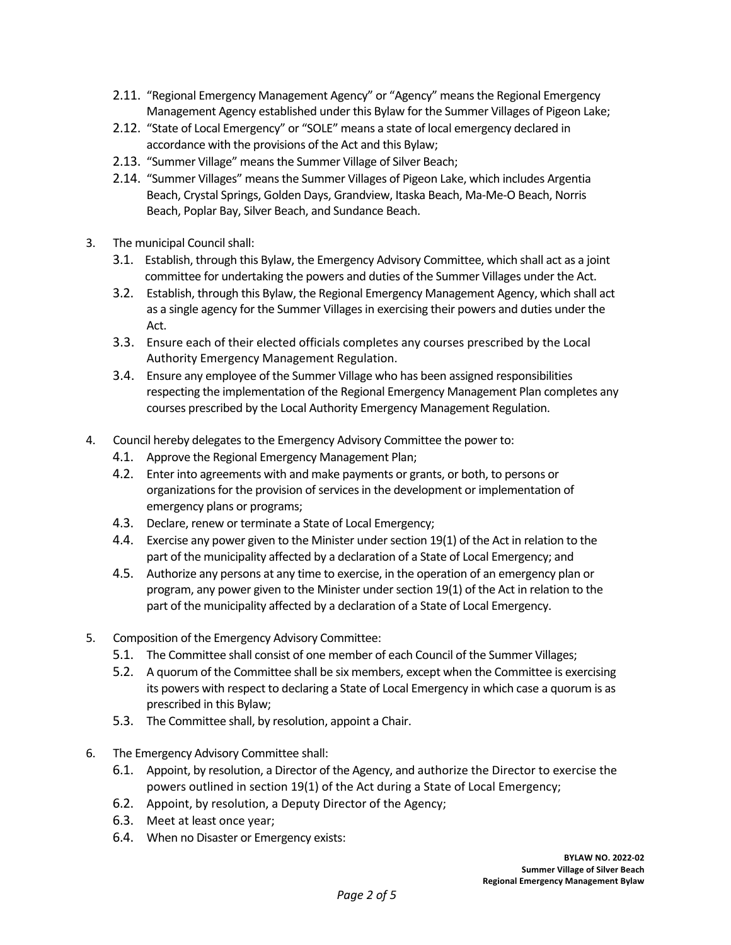- 2.11. "Regional Emergency Management Agency" or "Agency" means the Regional Emergency Management Agency established under this Bylaw for the Summer Villages of Pigeon Lake;
- 2.12. "State of Local Emergency" or "SOLE" means a state of local emergency declared in accordance with the provisions of the Act and this Bylaw;
- 2.13. "Summer Village" means the Summer Village of Silver Beach;
- 2.14. "Summer Villages" means the Summer Villages of Pigeon Lake, which includes Argentia Beach, Crystal Springs, Golden Days, Grandview, Itaska Beach, Ma-Me-O Beach, Norris Beach, Poplar Bay, Silver Beach, and Sundance Beach.
- 3. The municipal Council shall:
	- 3.1. Establish, through this Bylaw, the Emergency Advisory Committee, which shall act as a joint committee for undertaking the powers and duties of the Summer Villages under the Act.
	- 3.2. Establish, through this Bylaw, the Regional Emergency Management Agency, which shall act as a single agency for the Summer Villages in exercising their powers and duties under the Act.
	- 3.3. Ensure each of their elected officials completes any courses prescribed by the Local Authority Emergency Management Regulation.
	- 3.4. Ensure any employee of the Summer Village who has been assigned responsibilities respecting the implementation of the Regional Emergency Management Plan completes any courses prescribed by the Local Authority Emergency Management Regulation.
- 4. Council hereby delegates to the Emergency Advisory Committee the power to:
	- 4.1. Approve the Regional Emergency Management Plan;
	- 4.2. Enter into agreements with and make payments or grants, or both, to persons or organizations for the provision of services in the development or implementation of emergency plans or programs;
	- 4.3. Declare, renew or terminate a State of Local Emergency;
	- 4.4. Exercise any power given to the Minister under section 19(1) of the Act in relation to the part of the municipality affected by a declaration of a State of Local Emergency; and
	- 4.5. Authorize any persons at any time to exercise, in the operation of an emergency plan or program, any power given to the Minister under section 19(1) of the Act in relation to the part of the municipality affected by a declaration of a State of Local Emergency.
- 5. Composition of the Emergency Advisory Committee:
	- 5.1. The Committee shall consist of one member of each Council of the Summer Villages;
	- 5.2. A quorum of the Committee shall be six members, except when the Committee is exercising its powers with respect to declaring a State of Local Emergency in which case a quorum is as prescribed in this Bylaw;
	- 5.3. The Committee shall, by resolution, appoint a Chair.
- 6. The Emergency Advisory Committee shall:
	- 6.1. Appoint, by resolution, a Director of the Agency, and authorize the Director to exercise the powers outlined in section 19(1) of the Act during a State of Local Emergency;
	- 6.2. Appoint, by resolution, a Deputy Director of the Agency;
	- 6.3. Meet at least once year;
	- 6.4. When no Disaster or Emergency exists: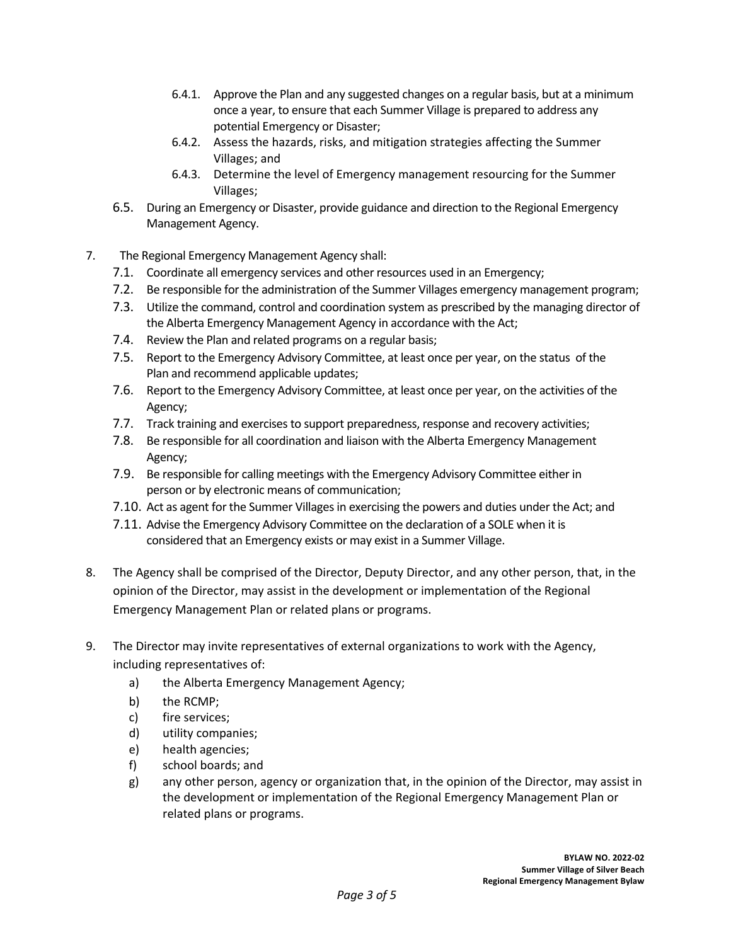- 6.4.1. Approve the Plan and any suggested changes on a regular basis, but at a minimum once a year, to ensure that each Summer Village is prepared to address any potential Emergency or Disaster;
- 6.4.2. Assess the hazards, risks, and mitigation strategies affecting the Summer Villages; and
- 6.4.3. Determine the level of Emergency management resourcing for the Summer Villages;
- 6.5. During an Emergency or Disaster, provide guidance and direction to the Regional Emergency Management Agency.
- 7. The Regional Emergency Management Agency shall:
	- 7.1. Coordinate all emergency services and other resources used in an Emergency;
	- 7.2. Be responsible for the administration of the Summer Villages emergency management program;
	- 7.3. Utilize the command, control and coordination system as prescribed by the managing director of the Alberta Emergency Management Agency in accordance with the Act;
	- 7.4. Review the Plan and related programs on a regular basis;
	- 7.5. Report to the Emergency Advisory Committee, at least once per year, on the status of the Plan and recommend applicable updates;
	- 7.6. Report to the Emergency Advisory Committee, at least once per year, on the activities of the Agency;
	- 7.7. Track training and exercises to support preparedness, response and recovery activities;
	- 7.8. Be responsible for all coordination and liaison with the Alberta Emergency Management Agency;
	- 7.9. Be responsible for calling meetings with the Emergency Advisory Committee either in person or by electronic means of communication;
	- 7.10. Act as agent for the Summer Villages in exercising the powers and duties under the Act; and
	- 7.11. Advise the Emergency Advisory Committee on the declaration of a SOLE when it is considered that an Emergency exists or may exist in a Summer Village.
- 8. The Agency shall be comprised of the Director, Deputy Director, and any other person, that, in the opinion of the Director, may assist in the development or implementation of the Regional Emergency Management Plan or related plans or programs.
- 9. The Director may invite representatives of external organizations to work with the Agency, including representatives of:
	- a) the Alberta Emergency Management Agency;
	- b) the RCMP;
	- c) fire services;
	- d) utility companies;
	- e) health agencies;
	- f) school boards; and
	- g) any other person, agency or organization that, in the opinion of the Director, may assist in the development or implementation of the Regional Emergency Management Plan or related plans or programs.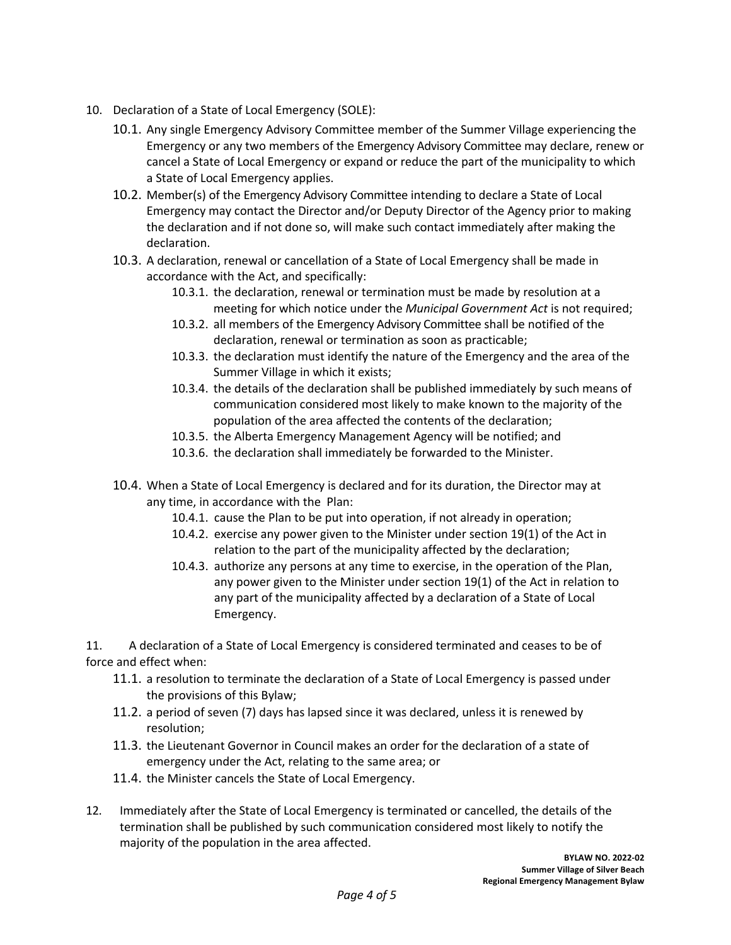- 10. Declaration of a State of Local Emergency (SOLE):
	- 10.1. Any single Emergency Advisory Committee member of the Summer Village experiencing the Emergency or any two members of the Emergency Advisory Committee may declare, renew or cancel a State of Local Emergency or expand or reduce the part of the municipality to which a State of Local Emergency applies.
	- 10.2. Member(s) of the Emergency Advisory Committee intending to declare a State of Local Emergency may contact the Director and/or Deputy Director of the Agency prior to making the declaration and if not done so, will make such contact immediately after making the declaration.
	- 10.3. A declaration, renewal or cancellation of a State of Local Emergency shall be made in accordance with the Act, and specifically:
		- 10.3.1. the declaration, renewal or termination must be made by resolution at a meeting for which notice under the *Municipal Government Act* is not required;
		- 10.3.2. all members of the Emergency Advisory Committee shall be notified of the declaration, renewal or termination as soon as practicable;
		- 10.3.3. the declaration must identify the nature of the Emergency and the area of the Summer Village in which it exists;
		- 10.3.4. the details of the declaration shall be published immediately by such means of communication considered most likely to make known to the majority of the population of the area affected the contents of the declaration;
		- 10.3.5. the Alberta Emergency Management Agency will be notified; and
		- 10.3.6. the declaration shall immediately be forwarded to the Minister.
	- 10.4. When a State of Local Emergency is declared and for its duration, the Director may at any time, in accordance with the Plan:
		- 10.4.1. cause the Plan to be put into operation, if not already in operation;
		- 10.4.2. exercise any power given to the Minister under section 19(1) of the Act in relation to the part of the municipality affected by the declaration;
		- 10.4.3. authorize any persons at any time to exercise, in the operation of the Plan, any power given to the Minister under section 19(1) of the Act in relation to any part of the municipality affected by a declaration of a State of Local Emergency.

11. A declaration of a State of Local Emergency is considered terminated and ceases to be of force and effect when:

- 11.1. a resolution to terminate the declaration of a State of Local Emergency is passed under the provisions of this Bylaw;
- 11.2. a period of seven (7) days has lapsed since it was declared, unless it is renewed by resolution;
- 11.3. the Lieutenant Governor in Council makes an order for the declaration of a state of emergency under the Act, relating to the same area; or
- 11.4. the Minister cancels the State of Local Emergency.
- 12. Immediately after the State of Local Emergency is terminated or cancelled, the details of the termination shall be published by such communication considered most likely to notify the majority of the population in the area affected.